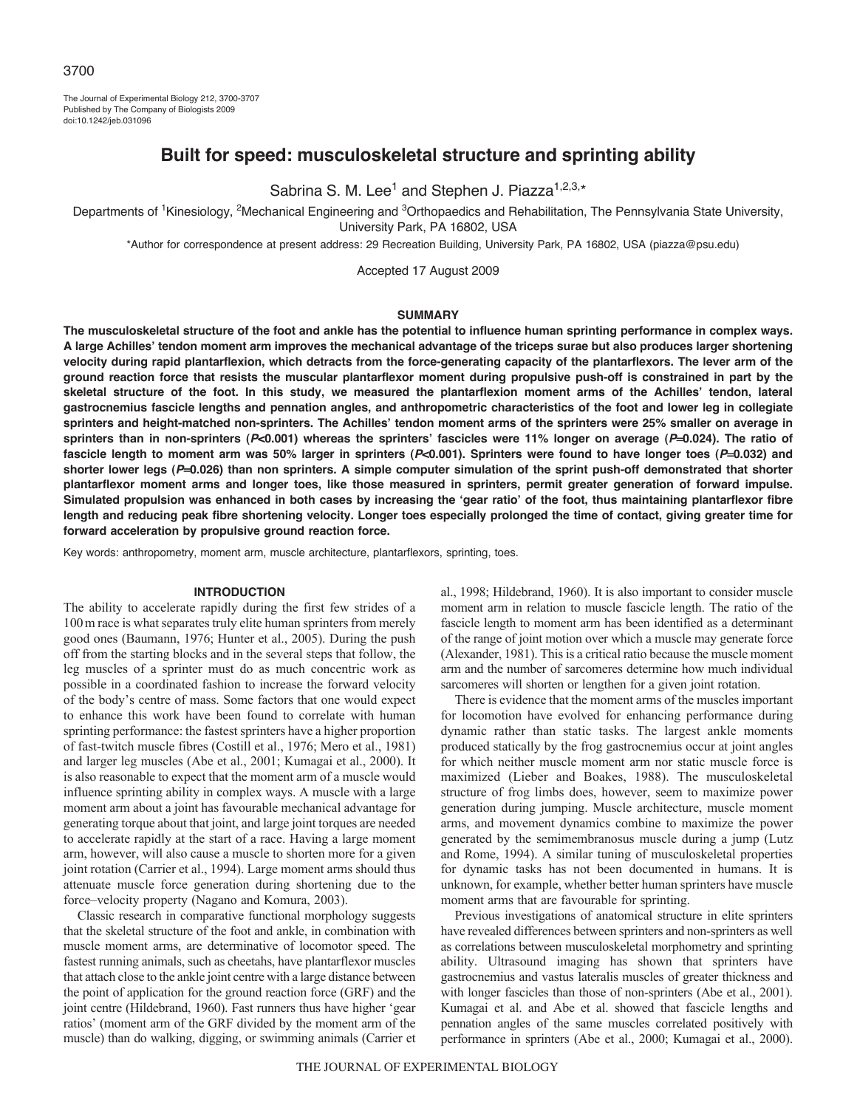The Journal of Experimental Biology 212, 3700-3707 Published by The Company of Biologists 2009 doi:10.1242/jeb.031096

# **Built for speed: musculoskeletal structure and sprinting ability**

Sabrina S. M. Lee<sup>1</sup> and Stephen J. Piazza<sup>1,2,3,\*</sup>

Departments of <sup>1</sup>Kinesiology, <sup>2</sup>Mechanical Engineering and <sup>3</sup>Orthopaedics and Rehabilitation, The Pennsylvania State University, University Park, PA 16802, USA

\*Author for correspondence at present address: 29 Recreation Building, University Park, PA 16802, USA (piazza@psu.edu)

Accepted 17 August 2009

## **SUMMARY**

**The musculoskeletal structure of the foot and ankle has the potential to influence human sprinting performance in complex ways. A large Achilles' tendon moment arm improves the mechanical advantage of the triceps surae but also produces larger shortening velocity during rapid plantarflexion, which detracts from the force-generating capacity of the plantarflexors. The lever arm of the ground reaction force that resists the muscular plantarflexor moment during propulsive push-off is constrained in part by the skeletal structure of the foot. In this study, we measured the plantarflexion moment arms of the Achilles' tendon, lateral gastrocnemius fascicle lengths and pennation angles, and anthropometric characteristics of the foot and lower leg in collegiate sprinters and height-matched non-sprinters. The Achilles' tendon moment arms of the sprinters were 25% smaller on average in sprinters than in non-sprinters (***P***<0.001) whereas the sprinters' fascicles were 11% longer on average (***P***0.024). The ratio of fascicle length to moment arm was 50% larger in sprinters (***P***<0.001). Sprinters were found to have longer toes (***P***0.032) and shorter lower legs (***P***0.026) than non sprinters. A simple computer simulation of the sprint push-off demonstrated that shorter plantarflexor moment arms and longer toes, like those measured in sprinters, permit greater generation of forward impulse. Simulated propulsion was enhanced in both cases by increasing the ʻgear ratio' of the foot, thus maintaining plantarflexor fibre length and reducing peak fibre shortening velocity. Longer toes especially prolonged the time of contact, giving greater time for forward acceleration by propulsive ground reaction force.**

Key words: anthropometry, moment arm, muscle architecture, plantarflexors, sprinting, toes.

#### **INTRODUCTION**

The ability to accelerate rapidly during the first few strides of a 100m race is what separates truly elite human sprinters from merely good ones (Baumann, 1976; Hunter et al., 2005). During the push off from the starting blocks and in the several steps that follow, the leg muscles of a sprinter must do as much concentric work as possible in a coordinated fashion to increase the forward velocity of the body's centre of mass. Some factors that one would expect to enhance this work have been found to correlate with human sprinting performance: the fastest sprinters have a higher proportion of fast-twitch muscle fibres (Costill et al., 1976; Mero et al., 1981) and larger leg muscles (Abe et al., 2001; Kumagai et al., 2000). It is also reasonable to expect that the moment arm of a muscle would influence sprinting ability in complex ways. A muscle with a large moment arm about a joint has favourable mechanical advantage for generating torque about that joint, and large joint torques are needed to accelerate rapidly at the start of a race. Having a large moment arm, however, will also cause a muscle to shorten more for a given joint rotation (Carrier et al., 1994). Large moment arms should thus attenuate muscle force generation during shortening due to the force–velocity property (Nagano and Komura, 2003).

Classic research in comparative functional morphology suggests that the skeletal structure of the foot and ankle, in combination with muscle moment arms, are determinative of locomotor speed. The fastest running animals, such as cheetahs, have plantarflexor muscles that attach close to the ankle joint centre with a large distance between the point of application for the ground reaction force (GRF) and the joint centre (Hildebrand, 1960). Fast runners thus have higher 'gear ratios' (moment arm of the GRF divided by the moment arm of the muscle) than do walking, digging, or swimming animals (Carrier et

al., 1998; Hildebrand, 1960). It is also important to consider muscle moment arm in relation to muscle fascicle length. The ratio of the fascicle length to moment arm has been identified as a determinant of the range of joint motion over which a muscle may generate force (Alexander, 1981). This is a critical ratio because the muscle moment arm and the number of sarcomeres determine how much individual sarcomeres will shorten or lengthen for a given joint rotation.

There is evidence that the moment arms of the muscles important for locomotion have evolved for enhancing performance during dynamic rather than static tasks. The largest ankle moments produced statically by the frog gastrocnemius occur at joint angles for which neither muscle moment arm nor static muscle force is maximized (Lieber and Boakes, 1988). The musculoskeletal structure of frog limbs does, however, seem to maximize power generation during jumping. Muscle architecture, muscle moment arms, and movement dynamics combine to maximize the power generated by the semimembranosus muscle during a jump (Lutz and Rome, 1994). A similar tuning of musculoskeletal properties for dynamic tasks has not been documented in humans. It is unknown, for example, whether better human sprinters have muscle moment arms that are favourable for sprinting.

Previous investigations of anatomical structure in elite sprinters have revealed differences between sprinters and non-sprinters as well as correlations between musculoskeletal morphometry and sprinting ability. Ultrasound imaging has shown that sprinters have gastrocnemius and vastus lateralis muscles of greater thickness and with longer fascicles than those of non-sprinters (Abe et al., 2001). Kumagai et al. and Abe et al. showed that fascicle lengths and pennation angles of the same muscles correlated positively with performance in sprinters (Abe et al., 2000; Kumagai et al., 2000).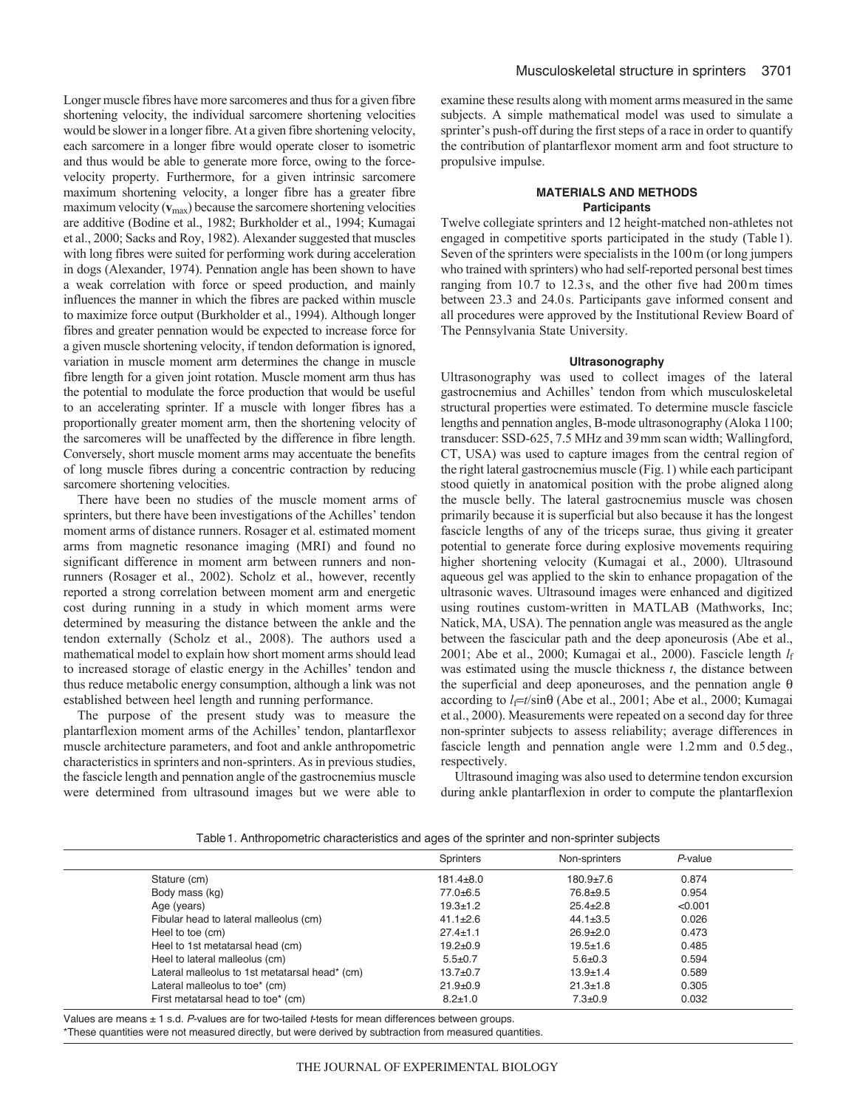Longer muscle fibres have more sarcomeres and thus for a given fibre shortening velocity, the individual sarcomere shortening velocities would be slower in a longer fibre. At a given fibre shortening velocity, each sarcomere in a longer fibre would operate closer to isometric and thus would be able to generate more force, owing to the forcevelocity property. Furthermore, for a given intrinsic sarcomere maximum shortening velocity, a longer fibre has a greater fibre maximum velocity ( $v_{\text{max}}$ ) because the sarcomere shortening velocities are additive (Bodine et al., 1982; Burkholder et al., 1994; Kumagai et al., 2000; Sacks and Roy, 1982). Alexander suggested that muscles with long fibres were suited for performing work during acceleration in dogs (Alexander, 1974). Pennation angle has been shown to have a weak correlation with force or speed production, and mainly influences the manner in which the fibres are packed within muscle to maximize force output (Burkholder et al., 1994). Although longer fibres and greater pennation would be expected to increase force for a given muscle shortening velocity, if tendon deformation is ignored, variation in muscle moment arm determines the change in muscle fibre length for a given joint rotation. Muscle moment arm thus has the potential to modulate the force production that would be useful to an accelerating sprinter. If a muscle with longer fibres has a proportionally greater moment arm, then the shortening velocity of the sarcomeres will be unaffected by the difference in fibre length. Conversely, short muscle moment arms may accentuate the benefits of long muscle fibres during a concentric contraction by reducing sarcomere shortening velocities.

There have been no studies of the muscle moment arms of sprinters, but there have been investigations of the Achilles' tendon moment arms of distance runners. Rosager et al. estimated moment arms from magnetic resonance imaging (MRI) and found no significant difference in moment arm between runners and nonrunners (Rosager et al., 2002). Scholz et al., however, recently reported a strong correlation between moment arm and energetic cost during running in a study in which moment arms were determined by measuring the distance between the ankle and the tendon externally (Scholz et al., 2008). The authors used a mathematical model to explain how short moment arms should lead to increased storage of elastic energy in the Achilles' tendon and thus reduce metabolic energy consumption, although a link was not established between heel length and running performance.

The purpose of the present study was to measure the plantarflexion moment arms of the Achilles' tendon, plantarflexor muscle architecture parameters, and foot and ankle anthropometric characteristics in sprinters and non-sprinters. As in previous studies, the fascicle length and pennation angle of the gastrocnemius muscle were determined from ultrasound images but we were able to examine these results along with moment arms measured in the same subjects. A simple mathematical model was used to simulate a sprinter's push-off during the first steps of a race in order to quantify the contribution of plantarflexor moment arm and foot structure to propulsive impulse.

# **MATERIALS AND METHODS Participants**

Twelve collegiate sprinters and 12 height-matched non-athletes not engaged in competitive sports participated in the study (Table1). Seven of the sprinters were specialists in the 100m (or long jumpers who trained with sprinters) who had self-reported personal best times ranging from 10.7 to 12.3s, and the other five had 200m times between 23.3 and 24.0s. Participants gave informed consent and all procedures were approved by the Institutional Review Board of The Pennsylvania State University.

#### **Ultrasonography**

Ultrasonography was used to collect images of the lateral gastrocnemius and Achilles' tendon from which musculoskeletal structural properties were estimated. To determine muscle fascicle lengths and pennation angles, B-mode ultrasonography (Aloka 1100; transducer: SSD-625, 7.5 MHz and 39mm scan width; Wallingford, CT, USA) was used to capture images from the central region of the right lateral gastrocnemius muscle (Fig.1) while each participant stood quietly in anatomical position with the probe aligned along the muscle belly. The lateral gastrocnemius muscle was chosen primarily because it is superficial but also because it has the longest fascicle lengths of any of the triceps surae, thus giving it greater potential to generate force during explosive movements requiring higher shortening velocity (Kumagai et al., 2000). Ultrasound aqueous gel was applied to the skin to enhance propagation of the ultrasonic waves. Ultrasound images were enhanced and digitized using routines custom-written in MATLAB (Mathworks, Inc; Natick, MA, USA). The pennation angle was measured as the angle between the fascicular path and the deep aponeurosis (Abe et al., 2001; Abe et al., 2000; Kumagai et al., 2000). Fascicle length *l*<sup>f</sup> was estimated using the muscle thickness *t*, the distance between the superficial and deep aponeuroses, and the pennation angle  $\theta$ according to  $l_f = t/\sin\theta$  (Abe et al., 2001; Abe et al., 2000; Kumagai et al., 2000). Measurements were repeated on a second day for three non-sprinter subjects to assess reliability; average differences in fascicle length and pennation angle were 1.2mm and 0.5deg., respectively.

Ultrasound imaging was also used to determine tendon excursion during ankle plantarflexion in order to compute the plantarflexion

|  |  |  |  |  | Table 1. Anthropometric characteristics and ages of the sprinter and non-sprinter subjects |  |
|--|--|--|--|--|--------------------------------------------------------------------------------------------|--|
|--|--|--|--|--|--------------------------------------------------------------------------------------------|--|

|                                                | Sprinters      | Non-sprinters   | P-value |  |
|------------------------------------------------|----------------|-----------------|---------|--|
| Stature (cm)                                   | 181.4±8.0      | $180.9{\pm}7.6$ | 0.874   |  |
| Body mass (kg)                                 | 77.0±6.5       | 76.8±9.5        | 0.954   |  |
| Age (years)                                    | $19.3 \pm 1.2$ | $25.4 \pm 2.8$  | < 0.001 |  |
| Fibular head to lateral malleolus (cm)         | $41.1 \pm 2.6$ | $44.1 \pm 3.5$  | 0.026   |  |
| Heel to toe (cm)                               | $27.4 \pm 1.1$ | $26.9 \pm 2.0$  | 0.473   |  |
| Heel to 1st metatarsal head (cm)               | $19.2 + 0.9$   | $19.5 + 1.6$    | 0.485   |  |
| Heel to lateral malleolus (cm)                 | $5.5 + 0.7$    | $5.6 \pm 0.3$   | 0.594   |  |
| Lateral malleolus to 1st metatarsal head* (cm) | $13.7 + 0.7$   | $13.9 + 1.4$    | 0.589   |  |
| Lateral malleolus to toe* (cm)                 | $21.9 + 0.9$   | $21.3 \pm 1.8$  | 0.305   |  |
| First metatarsal head to toe* (cm)             | $8.2 \pm 1.0$  | $7.3 \pm 0.9$   | 0.032   |  |
|                                                |                |                 |         |  |

Values are means ± 1 s.d. *P*-values are for two-tailed *t*-tests for mean differences between groups. \*These quantities were not measured directly, but were derived by subtraction from measured quantities.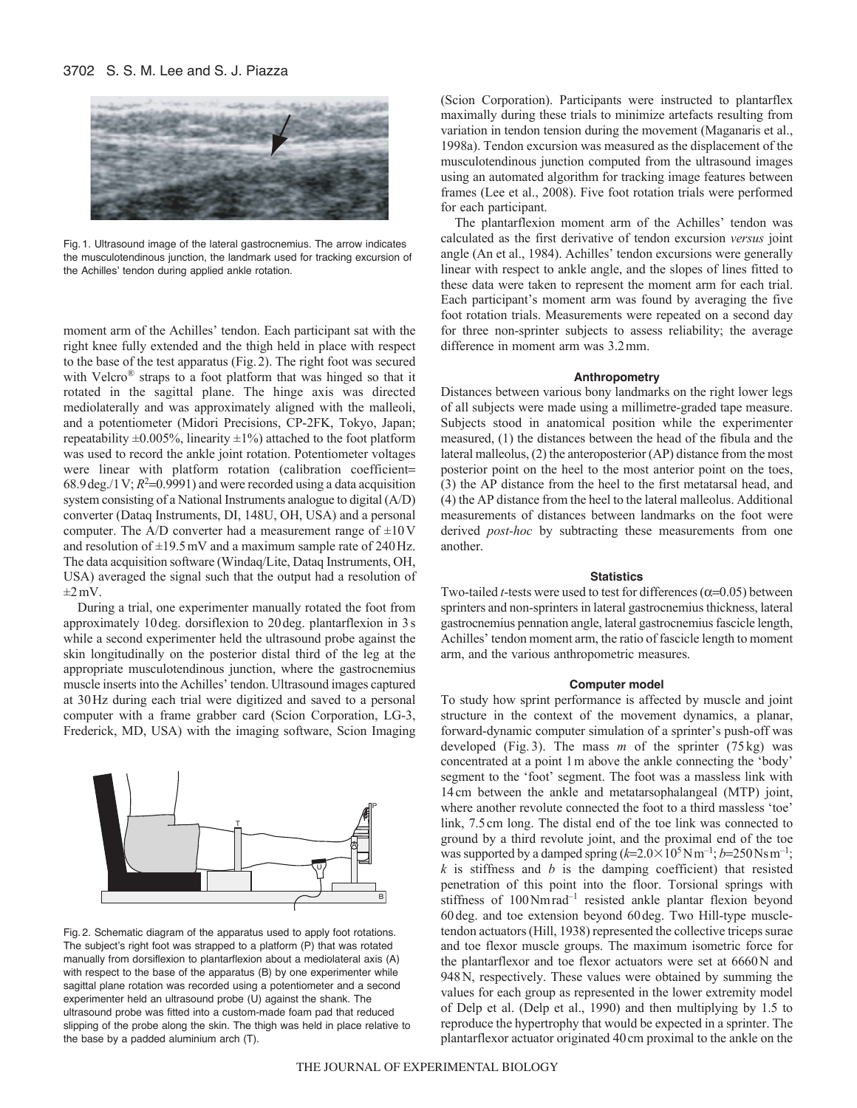## 3702 S. S. M. Lee and S. J. Piazza



Fig. 1. Ultrasound image of the lateral gastrocnemius. The arrow indicates the musculotendinous junction, the landmark used for tracking excursion of the Achilles' tendon during applied ankle rotation.

moment arm of the Achilles' tendon. Each participant sat with the right knee fully extended and the thigh held in place with respect to the base of the test apparatus (Fig.2). The right foot was secured with Velcro<sup>®</sup> straps to a foot platform that was hinged so that it rotated in the sagittal plane. The hinge axis was directed mediolaterally and was approximately aligned with the malleoli, and a potentiometer (Midori Precisions, CP-2FK, Tokyo, Japan; repeatability  $\pm 0.005\%$ , linearity  $\pm 1\%$ ) attached to the foot platform was used to record the ankle joint rotation. Potentiometer voltages were linear with platform rotation (calibration coefficient 68.9 deg./1 V;  $R^2$ =0.9991) and were recorded using a data acquisition system consisting of a National Instruments analogue to digital (A/D) converter (Dataq Instruments, DI, 148U, OH, USA) and a personal computer. The A/D converter had a measurement range of  $\pm 10$  V and resolution of  $\pm$ 19.5 mV and a maximum sample rate of 240 Hz. The data acquisition software (Windaq/Lite, Dataq Instruments, OH, USA) averaged the signal such that the output had a resolution of  $\pm 2$  mV.

During a trial, one experimenter manually rotated the foot from approximately 10deg. dorsiflexion to 20deg. plantarflexion in 3s while a second experimenter held the ultrasound probe against the skin longitudinally on the posterior distal third of the leg at the appropriate musculotendinous junction, where the gastrocnemius muscle inserts into the Achilles' tendon. Ultrasound images captured at 30Hz during each trial were digitized and saved to a personal computer with a frame grabber card (Scion Corporation, LG-3, Frederick, MD, USA) with the imaging software, Scion Imaging



Fig. 2. Schematic diagram of the apparatus used to apply foot rotations. The subject's right foot was strapped to a platform (P) that was rotated manually from dorsiflexion to plantarflexion about a mediolateral axis (A) with respect to the base of the apparatus (B) by one experimenter while sagittal plane rotation was recorded using a potentiometer and a second experimenter held an ultrasound probe (U) against the shank. The ultrasound probe was fitted into a custom-made foam pad that reduced slipping of the probe along the skin. The thigh was held in place relative to the base by a padded aluminium arch (T).

(Scion Corporation). Participants were instructed to plantarflex maximally during these trials to minimize artefacts resulting from variation in tendon tension during the movement (Maganaris et al., 1998a). Tendon excursion was measured as the displacement of the musculotendinous junction computed from the ultrasound images using an automated algorithm for tracking image features between frames (Lee et al., 2008). Five foot rotation trials were performed for each participant.

The plantarflexion moment arm of the Achilles' tendon was calculated as the first derivative of tendon excursion *versus* joint angle (An et al., 1984). Achilles' tendon excursions were generally linear with respect to ankle angle, and the slopes of lines fitted to these data were taken to represent the moment arm for each trial. Each participant's moment arm was found by averaging the five foot rotation trials. Measurements were repeated on a second day for three non-sprinter subjects to assess reliability; the average difference in moment arm was 3.2mm.

## **Anthropometry**

Distances between various bony landmarks on the right lower legs of all subjects were made using a millimetre-graded tape measure. Subjects stood in anatomical position while the experimenter measured, (1) the distances between the head of the fibula and the lateral malleolus, (2) the anteroposterior (AP) distance from the most posterior point on the heel to the most anterior point on the toes, (3) the AP distance from the heel to the first metatarsal head, and (4) the AP distance from the heel to the lateral malleolus. Additional measurements of distances between landmarks on the foot were derived *post-hoc* by subtracting these measurements from one another.

#### **Statistics**

Two-tailed *t*-tests were used to test for differences  $(\alpha=0.05)$  between sprinters and non-sprinters in lateral gastrocnemius thickness, lateral gastrocnemius pennation angle, lateral gastrocnemius fascicle length, Achilles' tendon moment arm, the ratio of fascicle length to moment arm, and the various anthropometric measures.

#### **Computer model**

To study how sprint performance is affected by muscle and joint structure in the context of the movement dynamics, a planar, forward-dynamic computer simulation of a sprinter's push-off was developed (Fig. 3). The mass *m* of the sprinter (75 kg) was concentrated at a point 1m above the ankle connecting the 'body' segment to the 'foot' segment. The foot was a massless link with 14cm between the ankle and metatarsophalangeal (MTP) joint, where another revolute connected the foot to a third massless 'toe' link, 7.5cm long. The distal end of the toe link was connected to ground by a third revolute joint, and the proximal end of the toe was supported by a damped spring  $(k=2.0 \times 10^5 \text{ N m}^{-1}; b=250 \text{ N s m}^{-1};$  $k$  is stiffness and  $b$  is the damping coefficient) that resisted penetration of this point into the floor. Torsional springs with stiffness of 100Nmrad<sup>-1</sup> resisted ankle plantar flexion beyond 60deg. and toe extension beyond 60deg. Two Hill-type muscletendon actuators (Hill, 1938) represented the collective triceps surae and toe flexor muscle groups. The maximum isometric force for the plantarflexor and toe flexor actuators were set at 6660N and 948N, respectively. These values were obtained by summing the values for each group as represented in the lower extremity model of Delp et al. (Delp et al., 1990) and then multiplying by 1.5 to reproduce the hypertrophy that would be expected in a sprinter. The plantarflexor actuator originated 40cm proximal to the ankle on the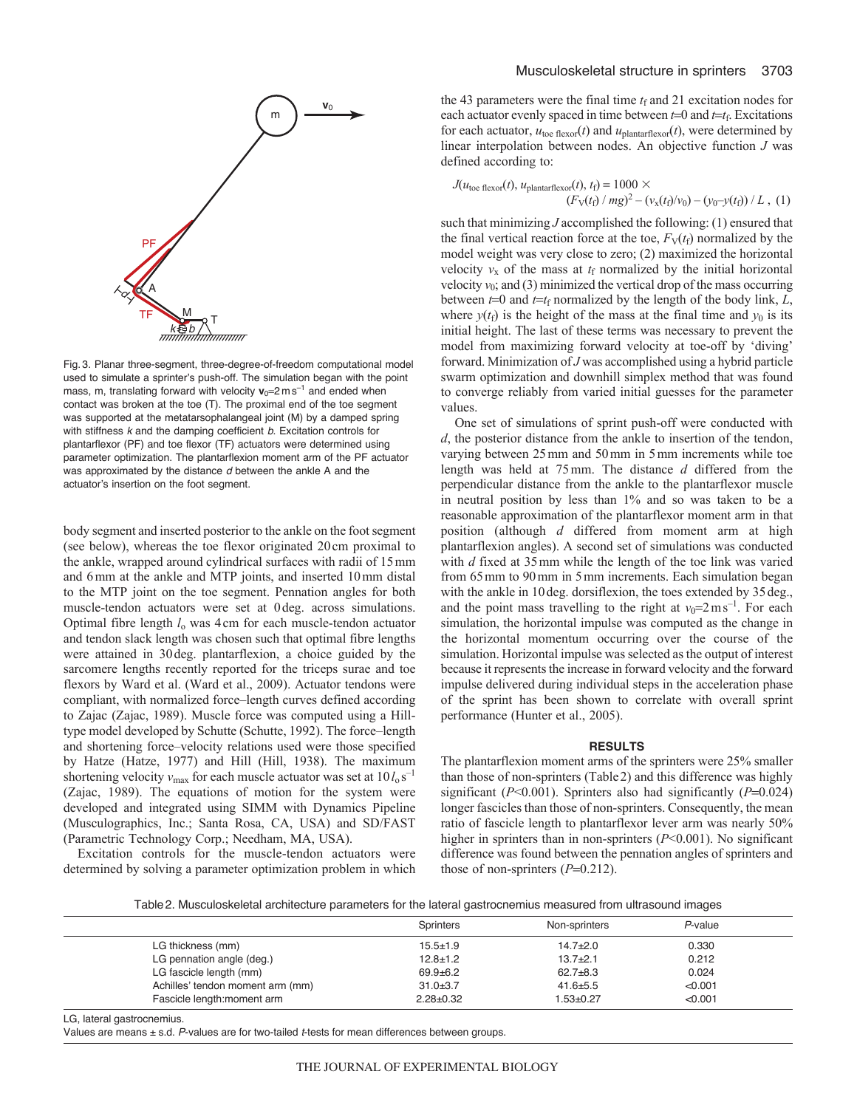

Fig. 3. Planar three-segment, three-degree-of-freedom computational model used to simulate a sprinter's push-off. The simulation began with the point mass, m, translating forward with velocity  $v_0$ =2 m s<sup>-1</sup> and ended when contact was broken at the toe (T). The proximal end of the toe segment was supported at the metatarsophalangeal joint (M) by a damped spring with stiffness *k* and the damping coefficient *b*. Excitation controls for plantarflexor (PF) and toe flexor (TF) actuators were determined using parameter optimization. The plantarflexion moment arm of the PF actuator was approximated by the distance *d* between the ankle A and the actuator's insertion on the foot segment.

body segment and inserted posterior to the ankle on the foot segment (see below), whereas the toe flexor originated 20cm proximal to the ankle, wrapped around cylindrical surfaces with radii of 15mm and 6mm at the ankle and MTP joints, and inserted 10mm distal to the MTP joint on the toe segment. Pennation angles for both muscle-tendon actuators were set at 0deg. across simulations. Optimal fibre length  $l_0$  was 4 cm for each muscle-tendon actuator and tendon slack length was chosen such that optimal fibre lengths were attained in 30deg. plantarflexion, a choice guided by the sarcomere lengths recently reported for the triceps surae and toe flexors by Ward et al. (Ward et al., 2009). Actuator tendons were compliant, with normalized force–length curves defined according to Zajac (Zajac, 1989). Muscle force was computed using a Hilltype model developed by Schutte (Schutte, 1992). The force–length and shortening force–velocity relations used were those specified by Hatze (Hatze, 1977) and Hill (Hill, 1938). The maximum shortening velocity  $v_{\text{max}}$  for each muscle actuator was set at  $10 l_0 s^{-1}$ (Zajac, 1989). The equations of motion for the system were developed and integrated using SIMM with Dynamics Pipeline (Musculographics, Inc.; Santa Rosa, CA, USA) and SD/FAST (Parametric Technology Corp.; Needham, MA, USA).

Excitation controls for the muscle-tendon actuators were determined by solving a parameter optimization problem in which the 43 parameters were the final time  $t_f$  and 21 excitation nodes for each actuator evenly spaced in time between  $t=0$  and  $t=t_f$ . Excitations for each actuator,  $u_{\text{toe flexor}}(t)$  and  $u_{\text{planarflexor}}(t)$ , were determined by linear interpolation between nodes. An objective function *J* was defined according to:

$$
J(u_{\text{toe flexor}}(t), u_{\text{plantarflexor}}(t), t_{\text{f}}) = 1000 \times
$$
  

$$
(F_V(t_{\text{f}}) / mg)^2 - (v_x(t_{\text{f}}) / v_0) - (v_0 - y(t_{\text{f}})) / L , (1)
$$

such that minimizing *J* accomplished the following: (1) ensured that the final vertical reaction force at the toe,  $F_V(t_f)$  normalized by the model weight was very close to zero; (2) maximized the horizontal velocity  $v_x$  of the mass at  $t_f$  normalized by the initial horizontal velocity  $v_0$ ; and (3) minimized the vertical drop of the mass occurring between  $t=0$  and  $t=t_f$  normalized by the length of the body link, *L*, where  $y(t_f)$  is the height of the mass at the final time and  $y_0$  is its initial height. The last of these terms was necessary to prevent the model from maximizing forward velocity at toe-off by 'diving' forward. Minimization of *J* was accomplished using a hybrid particle swarm optimization and downhill simplex method that was found to converge reliably from varied initial guesses for the parameter values.

One set of simulations of sprint push-off were conducted with *d*, the posterior distance from the ankle to insertion of the tendon, varying between 25mm and 50mm in 5mm increments while toe length was held at 75mm. The distance *d* differed from the perpendicular distance from the ankle to the plantarflexor muscle in neutral position by less than 1% and so was taken to be a reasonable approximation of the plantarflexor moment arm in that position (although *d* differed from moment arm at high plantarflexion angles). A second set of simulations was conducted with *d* fixed at 35mm while the length of the toe link was varied from 65mm to 90mm in 5mm increments. Each simulation began with the ankle in 10deg. dorsiflexion, the toes extended by 35deg., and the point mass travelling to the right at  $v_0=2 \text{ m s}^{-1}$ . For each simulation, the horizontal impulse was computed as the change in the horizontal momentum occurring over the course of the simulation. Horizontal impulse was selected as the output of interest because it represents the increase in forward velocity and the forward impulse delivered during individual steps in the acceleration phase of the sprint has been shown to correlate with overall sprint performance (Hunter et al., 2005).

## **RESULTS**

The plantarflexion moment arms of the sprinters were 25% smaller than those of non-sprinters (Table2) and this difference was highly significant ( $P<0.001$ ). Sprinters also had significantly ( $P=0.024$ ) longer fascicles than those of non-sprinters. Consequently, the mean ratio of fascicle length to plantarflexor lever arm was nearly 50% higher in sprinters than in non-sprinters ( $P<0.001$ ). No significant difference was found between the pennation angles of sprinters and those of non-sprinters  $(P=0.212)$ .

Table2. Musculoskeletal architecture parameters for the lateral gastrocnemius measured from ultrasound images

|                                  | Sprinters       | Non-sprinters | P-value |  |
|----------------------------------|-----------------|---------------|---------|--|
| LG thickness (mm)                | $15.5 + 1.9$    | $14.7 + 2.0$  | 0.330   |  |
| LG pennation angle (deg.)        | $12.8 + 1.2$    | $13.7+2.1$    | 0.212   |  |
| LG fascicle length (mm)          | $69.9 + 6.2$    | $62.7+8.3$    | 0.024   |  |
| Achilles' tendon moment arm (mm) | $31.0 \pm 3.7$  | $41.6 + 5.5$  | < 0.001 |  |
| Fascicle length: moment arm      | $2.28 \pm 0.32$ | $1.53 + 0.27$ | < 0.001 |  |

LG, lateral gastrocnemius.

Values are means ± s.d. *P*-values are for two-tailed *t*-tests for mean differences between groups.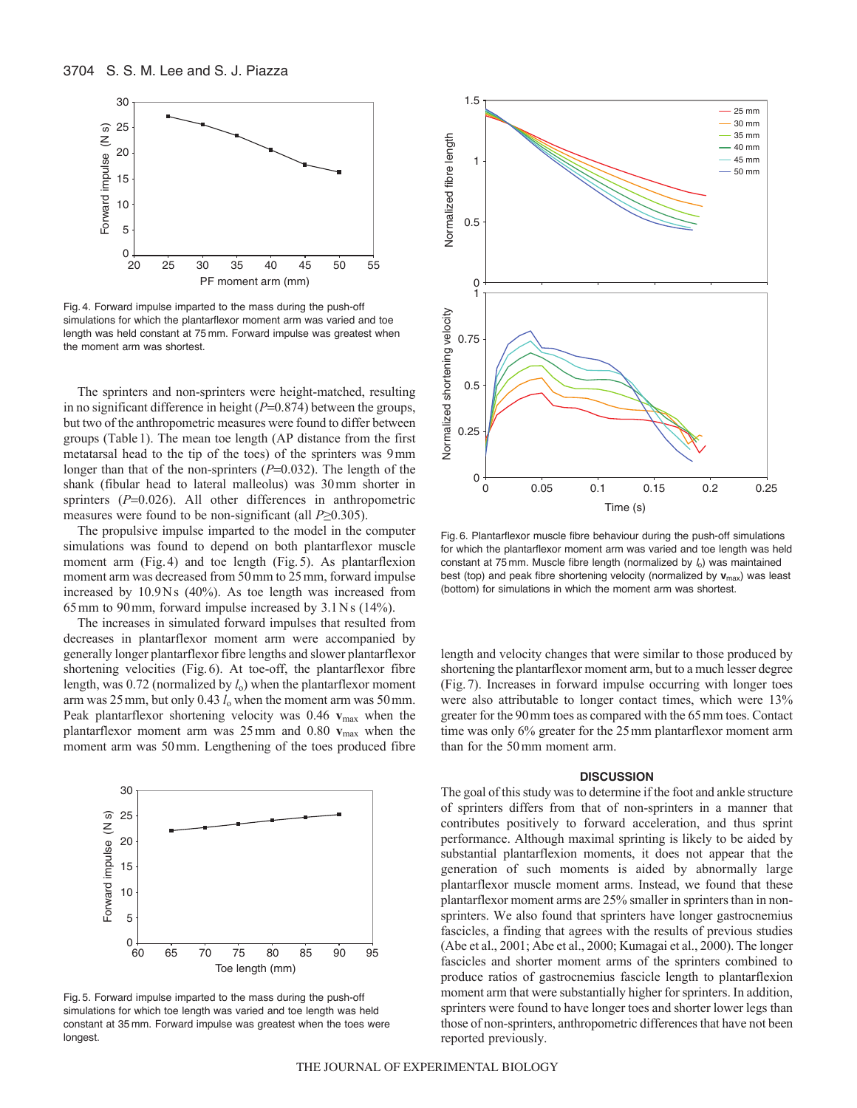

Fig. 4. Forward impulse imparted to the mass during the push-off simulations for which the plantarflexor moment arm was varied and toe length was held constant at 75 mm. Forward impulse was greatest when the moment arm was shortest.

The sprinters and non-sprinters were height-matched, resulting in no significant difference in height  $(P=0.874)$  between the groups, but two of the anthropometric measures were found to differ between groups (Table1). The mean toe length (AP distance from the first metatarsal head to the tip of the toes) of the sprinters was 9mm longer than that of the non-sprinters  $(P=0.032)$ . The length of the shank (fibular head to lateral malleolus) was 30mm shorter in sprinters  $(P=0.026)$ . All other differences in anthropometric measures were found to be non-significant (all *P*≥0.305).

The propulsive impulse imparted to the model in the computer simulations was found to depend on both plantarflexor muscle moment arm (Fig.4) and toe length (Fig.5). As plantarflexion moment arm was decreased from 50mm to 25mm, forward impulse increased by 10.9Ns (40%). As toe length was increased from 65mm to 90mm, forward impulse increased by 3.1Ns (14%).

The increases in simulated forward impulses that resulted from decreases in plantarflexor moment arm were accompanied by generally longer plantarflexor fibre lengths and slower plantarflexor shortening velocities (Fig.6). At toe-off, the plantarflexor fibre length, was 0.72 (normalized by *l*o) when the plantarflexor moment arm was 25mm, but only 0.43 *l*<sup>o</sup> when the moment arm was 50mm. Peak plantarflexor shortening velocity was 0.46  $v_{\text{max}}$  when the plantarflexor moment arm was 25mm and 0.80 **v**max when the moment arm was 50mm. Lengthening of the toes produced fibre



Fig. 5. Forward impulse imparted to the mass during the push-off simulations for which toe length was varied and toe length was held constant at 35 mm. Forward impulse was greatest when the toes were longest.



Fig. 6. Plantarflexor muscle fibre behaviour during the push-off simulations for which the plantarflexor moment arm was varied and toe length was held constant at 75 mm. Muscle fibre length (normalized by  $l_0$ ) was maintained best (top) and peak fibre shortening velocity (normalized by  $v_{max}$ ) was least (bottom) for simulations in which the moment arm was shortest.

length and velocity changes that were similar to those produced by shortening the plantarflexor moment arm, but to a much lesser degree (Fig.7). Increases in forward impulse occurring with longer toes were also attributable to longer contact times, which were 13% greater for the 90mm toes as compared with the 65mm toes. Contact time was only 6% greater for the 25mm plantarflexor moment arm than for the 50mm moment arm.

#### **DISCUSSION**

The goal of this study was to determine if the foot and ankle structure of sprinters differs from that of non-sprinters in a manner that contributes positively to forward acceleration, and thus sprint performance. Although maximal sprinting is likely to be aided by substantial plantarflexion moments, it does not appear that the generation of such moments is aided by abnormally large plantarflexor muscle moment arms. Instead, we found that these plantarflexor moment arms are 25% smaller in sprinters than in nonsprinters. We also found that sprinters have longer gastrocnemius fascicles, a finding that agrees with the results of previous studies (Abe et al., 2001; Abe et al., 2000; Kumagai et al., 2000). The longer fascicles and shorter moment arms of the sprinters combined to produce ratios of gastrocnemius fascicle length to plantarflexion moment arm that were substantially higher for sprinters. In addition, sprinters were found to have longer toes and shorter lower legs than those of non-sprinters, anthropometric differences that have not been reported previously.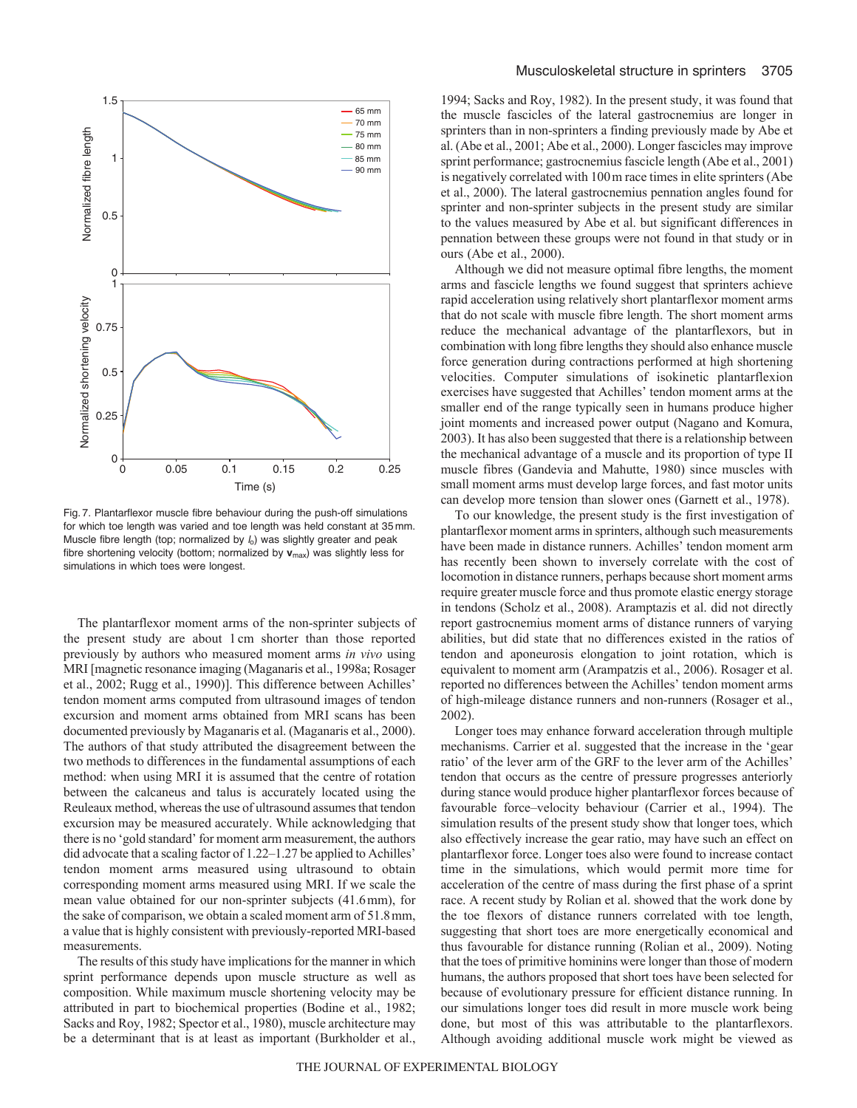

Fig. 7. Plantarflexor muscle fibre behaviour during the push-off simulations for which toe length was varied and toe length was held constant at 35 mm. Muscle fibre length (top; normalized by  $l_0$ ) was slightly greater and peak fibre shortening velocity (bottom; normalized by  $v_{max}$ ) was slightly less for simulations in which toes were longest.

The plantarflexor moment arms of the non-sprinter subjects of the present study are about 1 cm shorter than those reported previously by authors who measured moment arms *in vivo* using MRI [magnetic resonance imaging (Maganaris et al., 1998a; Rosager et al., 2002; Rugg et al., 1990)]. This difference between Achilles' tendon moment arms computed from ultrasound images of tendon excursion and moment arms obtained from MRI scans has been documented previously by Maganaris et al. (Maganaris et al., 2000). The authors of that study attributed the disagreement between the two methods to differences in the fundamental assumptions of each method: when using MRI it is assumed that the centre of rotation between the calcaneus and talus is accurately located using the Reuleaux method, whereas the use of ultrasound assumes that tendon excursion may be measured accurately. While acknowledging that there is no 'gold standard' for moment arm measurement, the authors did advocate that a scaling factor of 1.22–1.27 be applied to Achilles' tendon moment arms measured using ultrasound to obtain corresponding moment arms measured using MRI. If we scale the mean value obtained for our non-sprinter subjects (41.6mm), for the sake of comparison, we obtain a scaled moment arm of 51.8mm, a value that is highly consistent with previously-reported MRI-based measurements.

The results of this study have implications for the manner in which sprint performance depends upon muscle structure as well as composition. While maximum muscle shortening velocity may be attributed in part to biochemical properties (Bodine et al., 1982; Sacks and Roy, 1982; Spector et al., 1980), muscle architecture may be a determinant that is at least as important (Burkholder et al., 1994; Sacks and Roy, 1982). In the present study, it was found that the muscle fascicles of the lateral gastrocnemius are longer in sprinters than in non-sprinters a finding previously made by Abe et al. (Abe et al., 2001; Abe et al., 2000). Longer fascicles may improve sprint performance; gastrocnemius fascicle length (Abe et al., 2001) is negatively correlated with 100m race times in elite sprinters (Abe et al., 2000). The lateral gastrocnemius pennation angles found for sprinter and non-sprinter subjects in the present study are similar to the values measured by Abe et al. but significant differences in pennation between these groups were not found in that study or in ours (Abe et al., 2000).

Although we did not measure optimal fibre lengths, the moment arms and fascicle lengths we found suggest that sprinters achieve rapid acceleration using relatively short plantarflexor moment arms that do not scale with muscle fibre length. The short moment arms reduce the mechanical advantage of the plantarflexors, but in combination with long fibre lengths they should also enhance muscle force generation during contractions performed at high shortening velocities. Computer simulations of isokinetic plantarflexion exercises have suggested that Achilles' tendon moment arms at the smaller end of the range typically seen in humans produce higher joint moments and increased power output (Nagano and Komura, 2003). It has also been suggested that there is a relationship between the mechanical advantage of a muscle and its proportion of type II muscle fibres (Gandevia and Mahutte, 1980) since muscles with small moment arms must develop large forces, and fast motor units can develop more tension than slower ones (Garnett et al., 1978).

To our knowledge, the present study is the first investigation of plantarflexor moment arms in sprinters, although such measurements have been made in distance runners. Achilles' tendon moment arm has recently been shown to inversely correlate with the cost of locomotion in distance runners, perhaps because short moment arms require greater muscle force and thus promote elastic energy storage in tendons (Scholz et al., 2008). Aramptazis et al. did not directly report gastrocnemius moment arms of distance runners of varying abilities, but did state that no differences existed in the ratios of tendon and aponeurosis elongation to joint rotation, which is equivalent to moment arm (Arampatzis et al., 2006). Rosager et al. reported no differences between the Achilles' tendon moment arms of high-mileage distance runners and non-runners (Rosager et al., 2002).

Longer toes may enhance forward acceleration through multiple mechanisms. Carrier et al. suggested that the increase in the 'gear ratio' of the lever arm of the GRF to the lever arm of the Achilles' tendon that occurs as the centre of pressure progresses anteriorly during stance would produce higher plantarflexor forces because of favourable force–velocity behaviour (Carrier et al., 1994). The simulation results of the present study show that longer toes, which also effectively increase the gear ratio, may have such an effect on plantarflexor force. Longer toes also were found to increase contact time in the simulations, which would permit more time for acceleration of the centre of mass during the first phase of a sprint race. A recent study by Rolian et al. showed that the work done by the toe flexors of distance runners correlated with toe length, suggesting that short toes are more energetically economical and thus favourable for distance running (Rolian et al., 2009). Noting that the toes of primitive hominins were longer than those of modern humans, the authors proposed that short toes have been selected for because of evolutionary pressure for efficient distance running. In our simulations longer toes did result in more muscle work being done, but most of this was attributable to the plantarflexors. Although avoiding additional muscle work might be viewed as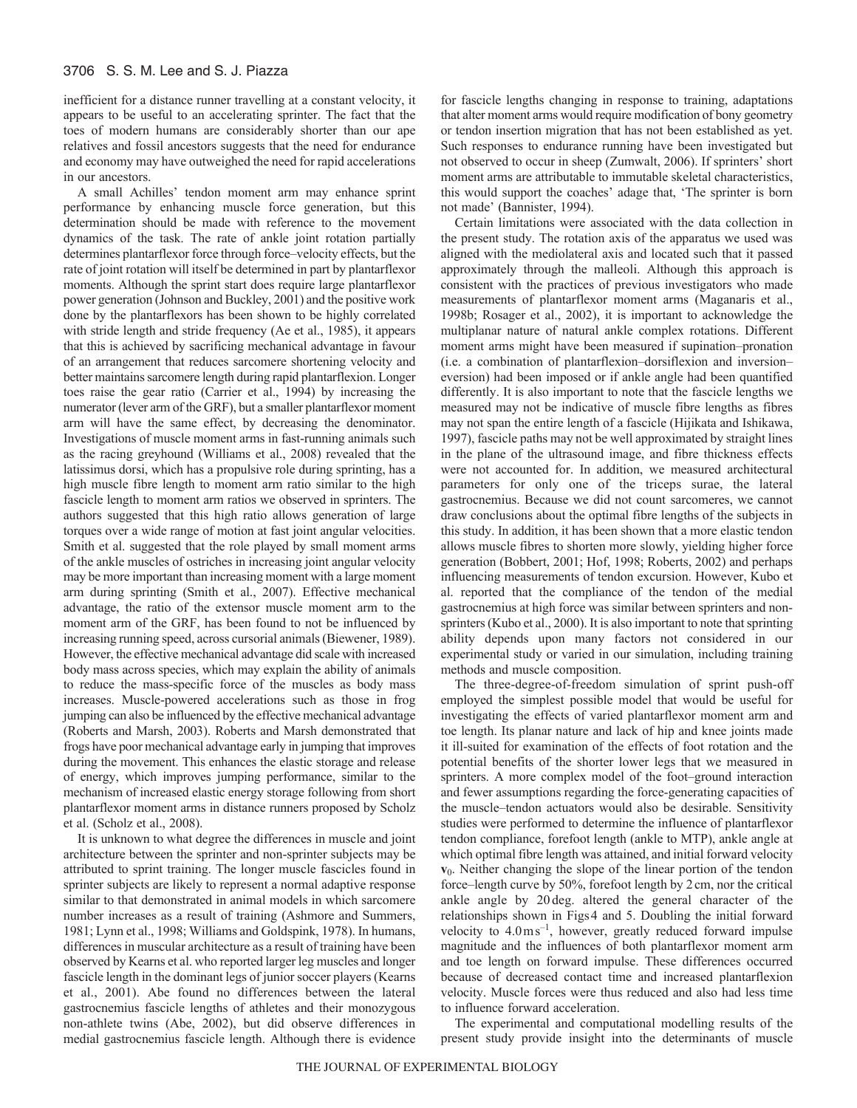inefficient for a distance runner travelling at a constant velocity, it appears to be useful to an accelerating sprinter. The fact that the toes of modern humans are considerably shorter than our ape relatives and fossil ancestors suggests that the need for endurance and economy may have outweighed the need for rapid accelerations in our ancestors.

A small Achilles' tendon moment arm may enhance sprint performance by enhancing muscle force generation, but this determination should be made with reference to the movement dynamics of the task. The rate of ankle joint rotation partially determines plantarflexor force through force–velocity effects, but the rate of joint rotation will itself be determined in part by plantarflexor moments. Although the sprint start does require large plantarflexor power generation (Johnson and Buckley, 2001) and the positive work done by the plantarflexors has been shown to be highly correlated with stride length and stride frequency (Ae et al., 1985), it appears that this is achieved by sacrificing mechanical advantage in favour of an arrangement that reduces sarcomere shortening velocity and better maintains sarcomere length during rapid plantarflexion. Longer toes raise the gear ratio (Carrier et al., 1994) by increasing the numerator (lever arm of the GRF), but a smaller plantarflexor moment arm will have the same effect, by decreasing the denominator. Investigations of muscle moment arms in fast-running animals such as the racing greyhound (Williams et al., 2008) revealed that the latissimus dorsi, which has a propulsive role during sprinting, has a high muscle fibre length to moment arm ratio similar to the high fascicle length to moment arm ratios we observed in sprinters. The authors suggested that this high ratio allows generation of large torques over a wide range of motion at fast joint angular velocities. Smith et al. suggested that the role played by small moment arms of the ankle muscles of ostriches in increasing joint angular velocity may be more important than increasing moment with a large moment arm during sprinting (Smith et al., 2007). Effective mechanical advantage, the ratio of the extensor muscle moment arm to the moment arm of the GRF, has been found to not be influenced by increasing running speed, across cursorial animals (Biewener, 1989). However, the effective mechanical advantage did scale with increased body mass across species, which may explain the ability of animals to reduce the mass-specific force of the muscles as body mass increases. Muscle-powered accelerations such as those in frog jumping can also be influenced by the effective mechanical advantage (Roberts and Marsh, 2003). Roberts and Marsh demonstrated that frogs have poor mechanical advantage early in jumping that improves during the movement. This enhances the elastic storage and release of energy, which improves jumping performance, similar to the mechanism of increased elastic energy storage following from short plantarflexor moment arms in distance runners proposed by Scholz et al. (Scholz et al., 2008).

It is unknown to what degree the differences in muscle and joint architecture between the sprinter and non-sprinter subjects may be attributed to sprint training. The longer muscle fascicles found in sprinter subjects are likely to represent a normal adaptive response similar to that demonstrated in animal models in which sarcomere number increases as a result of training (Ashmore and Summers, 1981; Lynn et al., 1998; Williams and Goldspink, 1978). In humans, differences in muscular architecture as a result of training have been observed by Kearns et al. who reported larger leg muscles and longer fascicle length in the dominant legs of junior soccer players (Kearns et al., 2001). Abe found no differences between the lateral gastrocnemius fascicle lengths of athletes and their monozygous non-athlete twins (Abe, 2002), but did observe differences in medial gastrocnemius fascicle length. Although there is evidence for fascicle lengths changing in response to training, adaptations that alter moment arms would require modification of bony geometry or tendon insertion migration that has not been established as yet. Such responses to endurance running have been investigated but not observed to occur in sheep (Zumwalt, 2006). If sprinters' short moment arms are attributable to immutable skeletal characteristics, this would support the coaches' adage that, 'The sprinter is born not made' (Bannister, 1994).

Certain limitations were associated with the data collection in the present study. The rotation axis of the apparatus we used was aligned with the mediolateral axis and located such that it passed approximately through the malleoli. Although this approach is consistent with the practices of previous investigators who made measurements of plantarflexor moment arms (Maganaris et al., 1998b; Rosager et al., 2002), it is important to acknowledge the multiplanar nature of natural ankle complex rotations. Different moment arms might have been measured if supination–pronation (i.e. a combination of plantarflexion–dorsiflexion and inversion– eversion) had been imposed or if ankle angle had been quantified differently. It is also important to note that the fascicle lengths we measured may not be indicative of muscle fibre lengths as fibres may not span the entire length of a fascicle (Hijikata and Ishikawa, 1997), fascicle paths may not be well approximated by straight lines in the plane of the ultrasound image, and fibre thickness effects were not accounted for. In addition, we measured architectural parameters for only one of the triceps surae, the lateral gastrocnemius. Because we did not count sarcomeres, we cannot draw conclusions about the optimal fibre lengths of the subjects in this study. In addition, it has been shown that a more elastic tendon allows muscle fibres to shorten more slowly, yielding higher force generation (Bobbert, 2001; Hof, 1998; Roberts, 2002) and perhaps influencing measurements of tendon excursion. However, Kubo et al. reported that the compliance of the tendon of the medial gastrocnemius at high force was similar between sprinters and nonsprinters (Kubo et al., 2000). It is also important to note that sprinting ability depends upon many factors not considered in our experimental study or varied in our simulation, including training methods and muscle composition.

The three-degree-of-freedom simulation of sprint push-off employed the simplest possible model that would be useful for investigating the effects of varied plantarflexor moment arm and toe length. Its planar nature and lack of hip and knee joints made it ill-suited for examination of the effects of foot rotation and the potential benefits of the shorter lower legs that we measured in sprinters. A more complex model of the foot–ground interaction and fewer assumptions regarding the force-generating capacities of the muscle–tendon actuators would also be desirable. Sensitivity studies were performed to determine the influence of plantarflexor tendon compliance, forefoot length (ankle to MTP), ankle angle at which optimal fibre length was attained, and initial forward velocity **v**0. Neither changing the slope of the linear portion of the tendon force–length curve by 50%, forefoot length by 2cm, nor the critical ankle angle by 20 deg. altered the general character of the relationships shown in Figs4 and 5. Doubling the initial forward velocity to  $4.0 \text{ m s}^{-1}$ , however, greatly reduced forward impulse magnitude and the influences of both plantarflexor moment arm and toe length on forward impulse. These differences occurred because of decreased contact time and increased plantarflexion velocity. Muscle forces were thus reduced and also had less time to influence forward acceleration.

The experimental and computational modelling results of the present study provide insight into the determinants of muscle